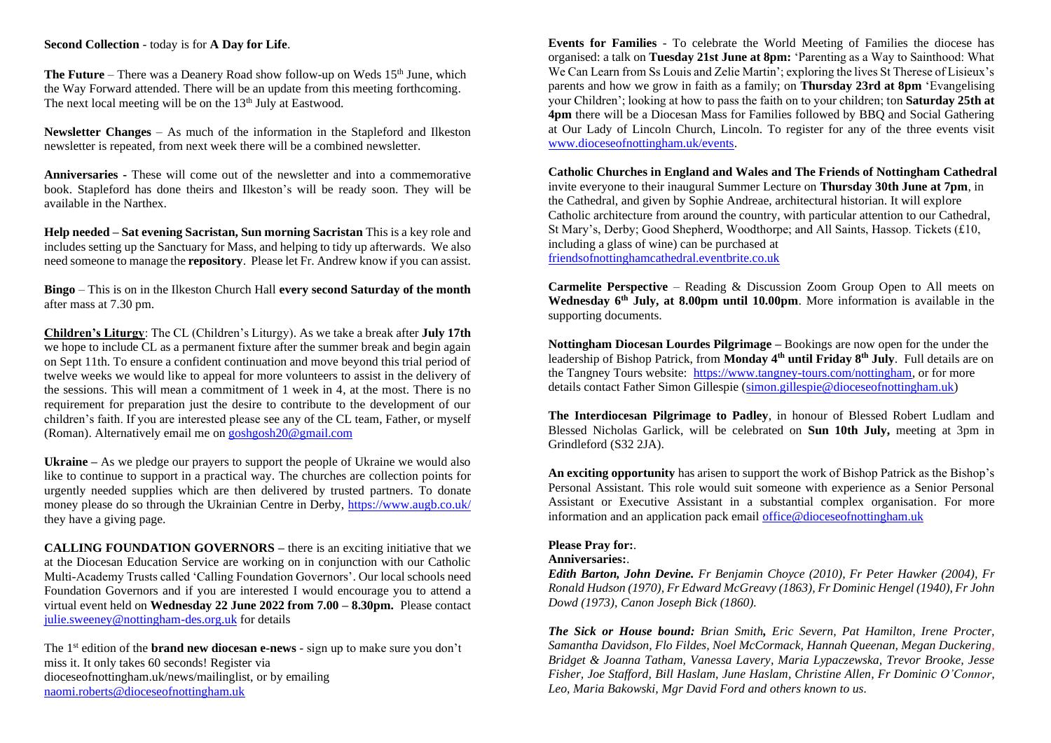#### **Second Collection** - today is for **A Day for Life**.

**The Future** – There was a Deanery Road show follow-up on Weds 15<sup>th</sup> June, which the Way Forward attended. There will be an update from this meeting forthcoming. The next local meeting will be on the  $13<sup>th</sup>$  July at Eastwood.

**Newsletter Changes** – As much of the information in the Stapleford and Ilkeston newsletter is repeated, from next week there will be a combined newsletter.

**Anniversaries -** These will come out of the newsletter and into a commemorative book. Stapleford has done theirs and Ilkeston's will be ready soon. They will be available in the Narthex.

**Help needed – Sat evening Sacristan, Sun morning Sacristan** This is a key role and includes setting up the Sanctuary for Mass, and helping to tidy up afterwards. We also need someone to manage the **repository**. Please let Fr. Andrew know if you can assist.

**Bingo** – This is on in the Ilkeston Church Hall **every second Saturday of the month** after mass at 7.30 pm.

**Children's Liturgy**: The CL (Children's Liturgy). As we take a break after **July 17th** we hope to include CL as a permanent fixture after the summer break and begin again on Sept 11th. To ensure a confident continuation and move beyond this trial period of twelve weeks we would like to appeal for more volunteers to assist in the delivery of the sessions. This will mean a commitment of 1 week in 4, at the most. There is no requirement for preparation just the desire to contribute to the development of our children's faith. If you are interested please see any of the CL team, Father, or myself (Roman). Alternatively email me on [goshgosh20@gmail.com](mailto:goshgosh20@gmail.com)

**Ukraine –** As we pledge our prayers to support the people of Ukraine we would also like to continue to support in a practical way. The churches are collection points for urgently needed supplies which are then delivered by trusted partners. To donate money please do so through the Ukrainian Centre in Derby, <https://www.augb.co.uk/> they have a giving page.

**CALLING FOUNDATION GOVERNORS – there is an exciting initiative that we** at the Diocesan Education Service are working on in conjunction with our Catholic Multi-Academy Trusts called 'Calling Foundation Governors'. Our local schools need Foundation Governors and if you are interested I would encourage you to attend a virtual event held on **Wednesday 22 June 2022 from 7.00 – 8.30pm.** Please contact [julie.sweeney@nottingham-des.org.uk](mailto:julie.sweeney@nottingham-des.org.uk) for details

The 1 st edition of the **brand new diocesan e-news** - sign up to make sure you don't miss it. It only takes 60 seconds! Register via dioceseofnottingham.uk/news/mailinglist, or by emailing [naomi.roberts@dioceseofnottingham.uk](mailto:naomi.roberts@dioceseofnottingham.uk)

**Events for Families** - To celebrate the World Meeting of Families the diocese has organised: a talk on **Tuesday 21st June at 8pm:** 'Parenting as a Way to Sainthood: What We Can Learn from Ss Louis and Zelie Martin'; exploring the lives St Therese of Lisieux's parents and how we grow in faith as a family; on **Thursday 23rd at 8pm** 'Evangelising your Children'; looking at how to pass the faith on to your children; ton **Saturday 25th at 4pm** there will be a Diocesan Mass for Families followed by BBQ and Social Gathering at Our Lady of Lincoln Church, Lincoln. To register for any of the three events visit [www.dioceseofnottingham.uk/events.](http://www.dioceseofnottingham.uk/events)

**Catholic Churches in England and Wales and The Friends of Nottingham Cathedral** invite everyone to their inaugural Summer Lecture on **Thursday 30th June at 7pm**, in the Cathedral, and given by Sophie Andreae, architectural historian. It will explore Catholic architecture from around the country, with particular attention to our Cathedral, St Mary's, Derby; Good Shepherd, Woodthorpe; and All Saints, Hassop. Tickets (£10, including a glass of wine) can be purchased at friendsofnottinghamcathedral.eventbrite.co.uk

**Carmelite Perspective** – Reading & Discussion Zoom Group Open to All meets on **Wednesday 6th July, at 8.00pm until 10.00pm**. More information is available in the supporting documents.

**Nottingham Diocesan Lourdes Pilgrimage –** Bookings are now open for the under the leadership of Bishop Patrick, from **Monday 4th until Friday 8th July**. Full details are on the Tangney Tours website: [https://www.tangney-tours.com/nottingham,](about:blank) or for more details contact Father Simon Gillespie [\(simon.gillespie@dioceseofnottingham.uk\)](mailto:simon.gillespie@dioceseofnottingham.uk)

**The Interdiocesan Pilgrimage to Padley**, in honour of Blessed Robert Ludlam and Blessed Nicholas Garlick, will be celebrated on **Sun 10th July,** meeting at 3pm in Grindleford (S32 2JA).

**An exciting opportunity** has arisen to support the work of Bishop Patrick as the Bishop's Personal Assistant. This role would suit someone with experience as a Senior Personal Assistant or Executive Assistant in a substantial complex organisation. For more information and an application pack email office@dioceseofnottingham.uk

### **Please Pray for:***.*

#### **Anniversaries:**.

*Edith Barton, John Devine. Fr Benjamin Choyce (2010), Fr Peter Hawker (2004), Fr Ronald Hudson (1970), Fr Edward McGreavy (1863), Fr Dominic Hengel (1940), Fr John Dowd (1973), Canon Joseph Bick (1860).*

*The Sick or House bound: Brian Smith, Eric Severn, Pat Hamilton, Irene Procter, Samantha Davidson, Flo Fildes, Noel McCormack, Hannah Queenan, Megan Duckering, Bridget & Joanna Tatham, Vanessa Lavery, Maria Lypaczewska, Trevor Brooke, Jesse Fisher, Joe Stafford, Bill Haslam, June Haslam, Christine Allen, Fr Dominic O'Connor, Leo, Maria Bakowski, Mgr David Ford and others known to us.*